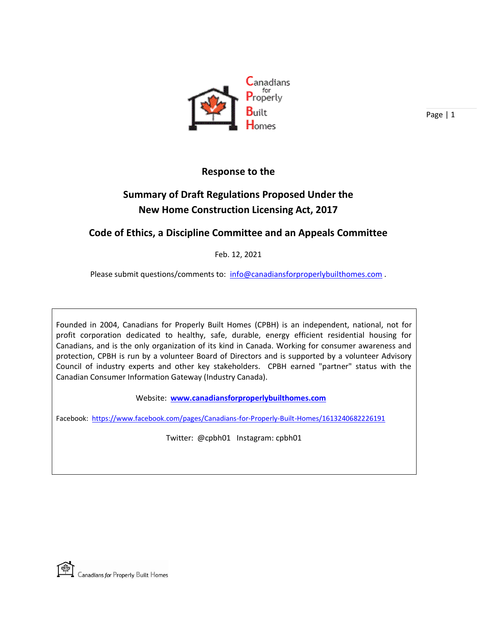

#### **Response to the**

# **Summary of Draft Regulations Proposed Under the New Home Construction Licensing Act, 2017**

#### **Code of Ethics, a Discipline Committee and an Appeals Committee**

Feb. 12, 2021

Please submit questions/comments to: [info@canadiansforproperlybuilthomes.com](mailto:info@canadiansforproperlybuilthomes.com).

Founded in 2004, Canadians for Properly Built Homes (CPBH) is an independent, national, not for profit corporation dedicated to healthy, safe, durable, energy efficient residential housing for Canadians, and is the only organization of its kind in Canada. Working for consumer awareness and protection, CPBH is run by a volunteer Board of Directors and is supported by a volunteer Advisory Council of industry experts and other key stakeholders. CPBH earned "partner" status with the Canadian Consumer Information Gateway (Industry Canada).

Website: **[www.canadiansforproperlybuilthomes.com](http://www.canadiansforproperlybuilthomes.com/)**

Facebook: <https://www.facebook.com/pages/Canadians-for-Properly-Built-Homes/1613240682226191>

Twitter: @cpbh01 Instagram: cpbh01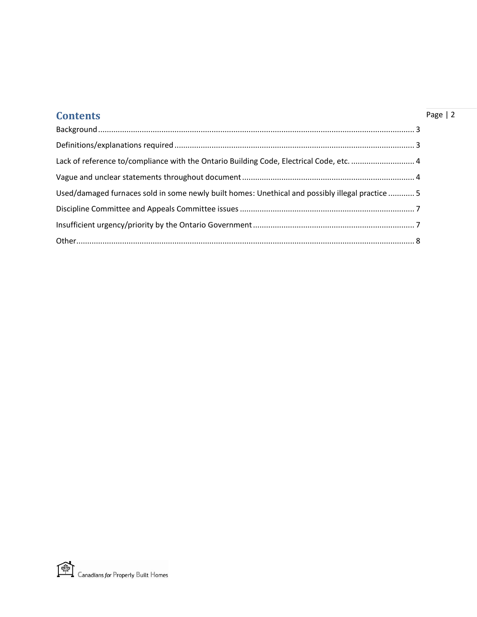| <b>Contents</b>                                                                                  | Page $ 2$ |
|--------------------------------------------------------------------------------------------------|-----------|
|                                                                                                  |           |
|                                                                                                  |           |
| Lack of reference to/compliance with the Ontario Building Code, Electrical Code, etc.  4         |           |
|                                                                                                  |           |
| Used/damaged furnaces sold in some newly built homes: Unethical and possibly illegal practice  5 |           |
|                                                                                                  |           |
|                                                                                                  |           |
|                                                                                                  |           |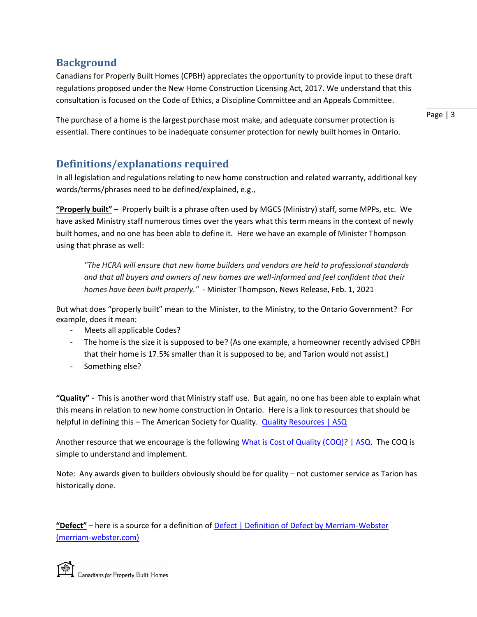#### <span id="page-2-0"></span>**Background**

Canadians for Properly Built Homes (CPBH) appreciates the opportunity to provide input to these draft regulations proposed under the New Home Construction Licensing Act, 2017. We understand that this consultation is focused on the Code of Ethics, a Discipline Committee and an Appeals Committee.

The purchase of a home is the largest purchase most make, and adequate consumer protection is essential. There continues to be inadequate consumer protection for newly built homes in Ontario. Page | 3

## <span id="page-2-1"></span>**Definitions/explanations required**

In all legislation and regulations relating to new home construction and related warranty, additional key words/terms/phrases need to be defined/explained, e.g.,

**"Properly built"** – Properly built is a phrase often used by MGCS (Ministry) staff, some MPPs, etc. We have asked Ministry staff numerous times over the years what this term means in the context of newly built homes, and no one has been able to define it. Here we have an example of Minister Thompson using that phrase as well:

*"The HCRA will ensure that new home builders and vendors are held to professional standards and that all buyers and owners of new homes are well-informed and feel confident that their homes have been built properly."* - Minister Thompson, News Release, Feb. 1, 2021

But what does "properly built" mean to the Minister, to the Ministry, to the Ontario Government? For example, does it mean:

- Meets all applicable Codes?
- The home is the size it is supposed to be? (As one example, a homeowner recently advised CPBH that their home is 17.5% smaller than it is supposed to be, and Tarion would not assist.)
- Something else?

**"Quality"** - This is another word that Ministry staff use. But again, no one has been able to explain what this means in relation to new home construction in Ontario. Here is a link to resources that should be helpful in defining this - The American Society for Quality. Quality Resources | ASQ

Another resource that we encourage is the following [What is Cost of Quality \(COQ\)? | ASQ.](https://asq.org/quality-resources/cost-of-quality) The COQ is simple to understand and implement.

Note: Any awards given to builders obviously should be for quality – not customer service as Tarion has historically done.

**"Defect"** – here is a source for a definition of [Defect | Definition of Defect by Merriam-Webster](https://www.merriam-webster.com/dictionary/defect)  [\(merriam-webster.com\)](https://www.merriam-webster.com/dictionary/defect)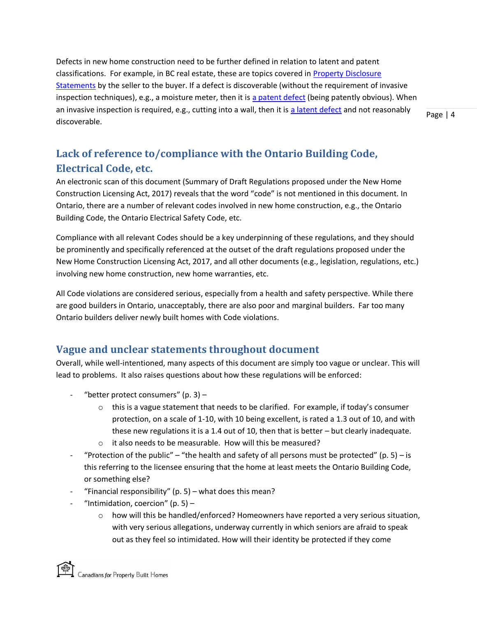Defects in new home construction need to be further defined in relation to latent and patent classifications. For example, in BC real estate, these are topics covered in [Property Disclosure](https://www.recbc.ca/search-results?search=property%20disclosure%20statement)  [Statements](https://www.recbc.ca/search-results?search=property%20disclosure%20statement) by the seller to the buyer. If a defect is discoverable (without the requirement of invasive inspection techniques), e.g., a moisture meter, then it is [a patent defect](https://www.recbc.ca/search-results?search=patent) (being patently obvious). When an invasive inspection is required, e.g., cutting into a wall, then it is [a latent defect](https://www.recbc.ca/search-results?search=latent) and not reasonably discoverable.

Page | 4

# <span id="page-3-0"></span>**Lack of reference to/compliance with the Ontario Building Code, Electrical Code, etc.**

An electronic scan of this document (Summary of Draft Regulations proposed under the New Home Construction Licensing Act, 2017) reveals that the word "code" is not mentioned in this document. In Ontario, there are a number of relevant codes involved in new home construction, e.g., the Ontario Building Code, the Ontario Electrical Safety Code, etc.

Compliance with all relevant Codes should be a key underpinning of these regulations, and they should be prominently and specifically referenced at the outset of the draft regulations proposed under the New Home Construction Licensing Act, 2017, and all other documents (e.g., legislation, regulations, etc.) involving new home construction, new home warranties, etc.

All Code violations are considered serious, especially from a health and safety perspective. While there are good builders in Ontario, unacceptably, there are also poor and marginal builders. Far too many Ontario builders deliver newly built homes with Code violations.

### <span id="page-3-1"></span>**Vague and unclear statements throughout document**

Overall, while well-intentioned, many aspects of this document are simply too vague or unclear. This will lead to problems. It also raises questions about how these regulations will be enforced:

- "better protect consumers" (p. 3)  $-$ 
	- $\circ$  this is a vague statement that needs to be clarified. For example, if today's consumer protection, on a scale of 1-10, with 10 being excellent, is rated a 1.3 out of 10, and with these new regulations it is a 1.4 out of 10, then that is better – but clearly inadequate.
	- o it also needs to be measurable. How will this be measured?
- "Protection of the public" "the health and safety of all persons must be protected" (p. 5) is this referring to the licensee ensuring that the home at least meets the Ontario Building Code, or something else?
- "Financial responsibility" (p. 5) what does this mean?
- "Intimidation, coercion" (p. 5)  $-$ 
	- $\circ$  how will this be handled/enforced? Homeowners have reported a very serious situation, with very serious allegations, underway currently in which seniors are afraid to speak out as they feel so intimidated. How will their identity be protected if they come

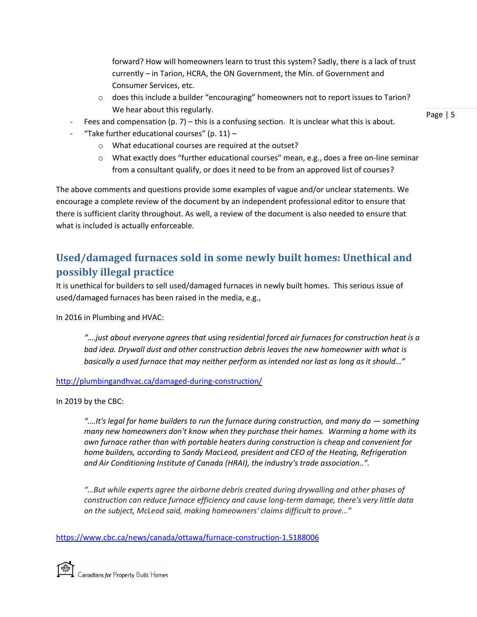forward? How will homeowners learn to trust this system? Sadly, there is a lack of trust currently – in Tarion, HCRA, the ON Government, the Min. of Government and Consumer Services, etc.

- o does this include a builder "encouraging" homeowners not to report issues to Tarion? We hear about this regularly.
- Fees and compensation (p. 7) this is a confusing section. It is unclear what this is about.
- "Take further educational courses" (p.  $11$ )
	- o What educational courses are required at the outset?
	- o What exactly does "further educational courses" mean, e.g., does a free on-line seminar from a consultant qualify, or does it need to be from an approved list of courses?

The above comments and questions provide some examples of vague and/or unclear statements. We encourage a complete review of the document by an independent professional editor to ensure that there is sufficient clarity throughout. As well, a review of the document is also needed to ensure that what is included is actually enforceable.

# <span id="page-4-0"></span>**Used/damaged furnaces sold in some newly built homes: Unethical and possibly illegal practice**

It is unethical for builders to sell used/damaged furnaces in newly built homes. This serious issue of used/damaged furnaces has been raised in the media, e.g.,

In 2016 in Plumbing and HVAC:

*"….just about everyone agrees that using residential forced air furnaces for construction heat is a bad idea. Drywall dust and other construction debris leaves the new homeowner with what is*  basically a used furnace that may neither perform as intended nor last as long as it should..."

#### <http://plumbingandhvac.ca/damaged-during-construction/>

In 2019 by the CBC:

*"….It's legal for home builders to run the furnace during construction, and many do — something many new homeowners don't know when they purchase their homes. Warming a home with its own furnace rather than with portable heaters during construction is cheap and convenient for home builders, according to Sandy MacLeod, president and CEO of the Heating, Refrigeration and Air Conditioning Institute of Canada (HRAI), the industry's trade association..".*

*"…But while experts agree the airborne debris created during drywalling and other phases of construction can reduce furnace efficiency and cause long-term damage, there's very little data on the subject, McLeod said, making homeowners' claims difficult to prove…"*

<https://www.cbc.ca/news/canada/ottawa/furnace-construction-1.5188006>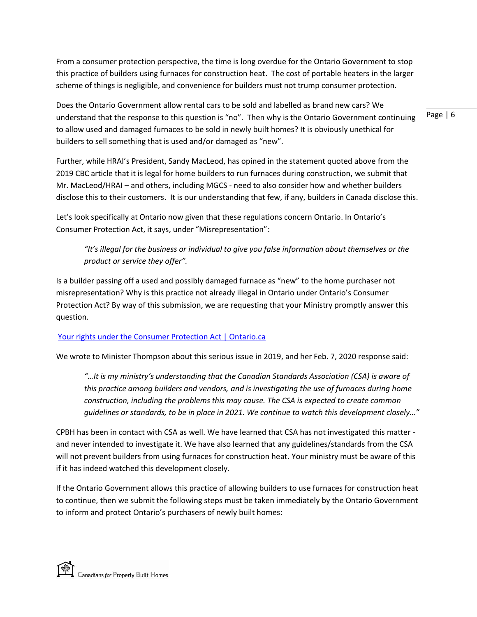From a consumer protection perspective, the time is long overdue for the Ontario Government to stop this practice of builders using furnaces for construction heat. The cost of portable heaters in the larger scheme of things is negligible, and convenience for builders must not trump consumer protection.

Does the Ontario Government allow rental cars to be sold and labelled as brand new cars? We understand that the response to this question is "no". Then why is the Ontario Government continuing to allow used and damaged furnaces to be sold in newly built homes? It is obviously unethical for builders to sell something that is used and/or damaged as "new".

Further, while HRAI's President, Sandy MacLeod, has opined in the statement quoted above from the 2019 CBC article that it is legal for home builders to run furnaces during construction, we submit that Mr. MacLeod/HRAI – and others, including MGCS - need to also consider how and whether builders disclose this to their customers. It is our understanding that few, if any, builders in Canada disclose this.

Let's look specifically at Ontario now given that these regulations concern Ontario. In Ontario's Consumer Protection Act, it says, under "Misrepresentation":

*"It's illegal for the business or individual to give you false information about themselves or the product or service they offer".* 

Is a builder passing off a used and possibly damaged furnace as "new" to the home purchaser not misrepresentation? Why is this practice not already illegal in Ontario under Ontario's Consumer Protection Act? By way of this submission, we are requesting that your Ministry promptly answer this question.

#### [Your rights under the Consumer Protection Act | Ontario.ca](https://www.ontario.ca/page/your-rights-under-consumer-protection-act)

We wrote to Minister Thompson about this serious issue in 2019, and her Feb. 7, 2020 response said:

*"…It is my ministry's understanding that the Canadian Standards Association (CSA) is aware of this practice among builders and vendors, and is investigating the use of furnaces during home construction, including the problems this may cause. The CSA is expected to create common guidelines or standards, to be in place in 2021. We continue to watch this development closely…"*

CPBH has been in contact with CSA as well. We have learned that CSA has not investigated this matter and never intended to investigate it. We have also learned that any guidelines/standards from the CSA will not prevent builders from using furnaces for construction heat. Your ministry must be aware of this if it has indeed watched this development closely.

If the Ontario Government allows this practice of allowing builders to use furnaces for construction heat to continue, then we submit the following steps must be taken immediately by the Ontario Government to inform and protect Ontario's purchasers of newly built homes: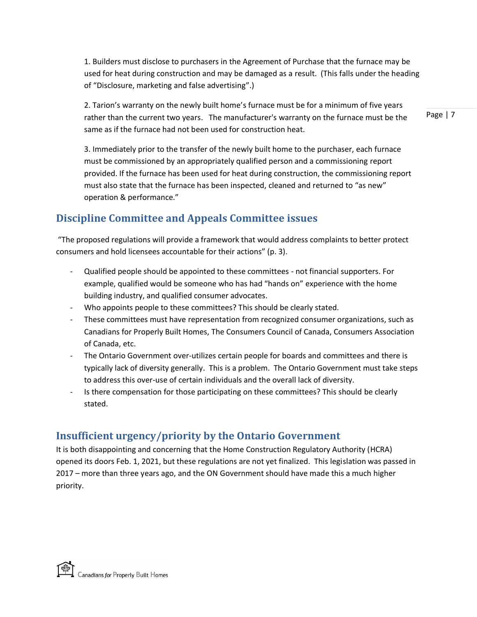1. Builders must disclose to purchasers in the Agreement of Purchase that the furnace may be used for heat during construction and may be damaged as a result. (This falls under the heading of "Disclosure, marketing and false advertising".)

2. Tarion's warranty on the newly built home's furnace must be for a minimum of five years rather than the current two years. The manufacturer's warranty on the furnace must be the same as if the furnace had not been used for construction heat.

3. Immediately prior to the transfer of the newly built home to the purchaser, each furnace must be commissioned by an appropriately qualified person and a commissioning report provided. If the furnace has been used for heat during construction, the commissioning report must also state that the furnace has been inspected, cleaned and returned to "as new" operation & performance."

## <span id="page-6-0"></span>**Discipline Committee and Appeals Committee issues**

"The proposed regulations will provide a framework that would address complaints to better protect consumers and hold licensees accountable for their actions" (p. 3).

- Qualified people should be appointed to these committees not financial supporters. For example, qualified would be someone who has had "hands on" experience with the home building industry, and qualified consumer advocates.
- Who appoints people to these committees? This should be clearly stated.
- These committees must have representation from recognized consumer organizations, such as Canadians for Properly Built Homes, The Consumers Council of Canada, Consumers Association of Canada, etc.
- The Ontario Government over-utilizes certain people for boards and committees and there is typically lack of diversity generally. This is a problem. The Ontario Government must take steps to address this over-use of certain individuals and the overall lack of diversity.
- Is there compensation for those participating on these committees? This should be clearly stated.

### <span id="page-6-1"></span>**Insufficient urgency/priority by the Ontario Government**

It is both disappointing and concerning that the Home Construction Regulatory Authority (HCRA) opened its doors Feb. 1, 2021, but these regulations are not yet finalized. This legislation was passed in 2017 – more than three years ago, and the ON Government should have made this a much higher priority.